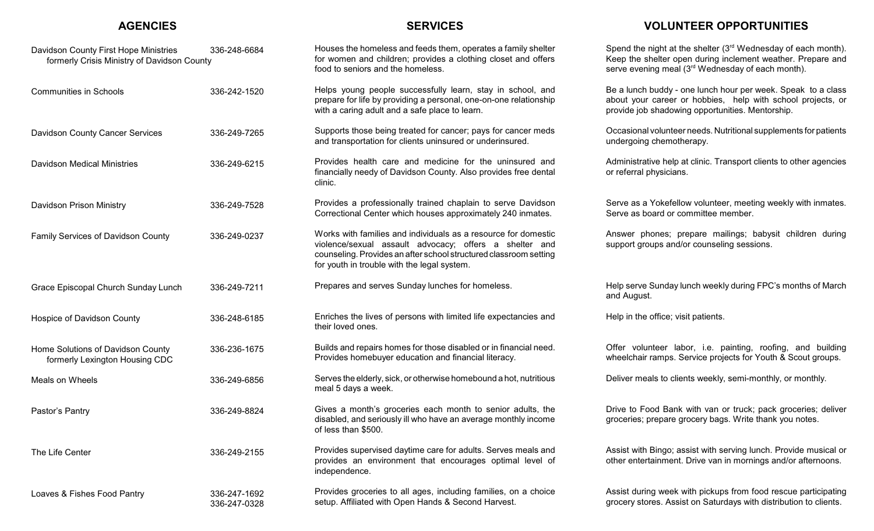## **AGENCIES**

## **SERVICES**

**VOLUNTEER OPPORTUNITIES**

| Davidson County First Hope Ministries<br>formerly Crisis Ministry of Davidson County | 336-248-6684                 | Houses the homeless and feeds them, operates a family shelter<br>for women and children; provides a clothing closet and offers<br>food to seniors and the homeless.                                                                          | Spend the night at the shelter $(3^{rd}$ Wednesday of each month).<br>Keep the shelter open during inclement weather. Prepare and<br>serve evening meal (3rd Wednesday of each month). |
|--------------------------------------------------------------------------------------|------------------------------|----------------------------------------------------------------------------------------------------------------------------------------------------------------------------------------------------------------------------------------------|----------------------------------------------------------------------------------------------------------------------------------------------------------------------------------------|
| <b>Communities in Schools</b>                                                        | 336-242-1520                 | Helps young people successfully learn, stay in school, and<br>prepare for life by providing a personal, one-on-one relationship<br>with a caring adult and a safe place to learn.                                                            | Be a lunch buddy - one lunch hour per week. Speak to a class<br>about your career or hobbies, help with school projects, or<br>provide job shadowing opportunities. Mentorship.        |
| Davidson County Cancer Services                                                      | 336-249-7265                 | Supports those being treated for cancer; pays for cancer meds<br>and transportation for clients uninsured or underinsured.                                                                                                                   | Occasional volunteer needs. Nutritional supplements for patients<br>undergoing chemotherapy.                                                                                           |
| <b>Davidson Medical Ministries</b>                                                   | 336-249-6215                 | Provides health care and medicine for the uninsured and<br>financially needy of Davidson County. Also provides free dental<br>clinic.                                                                                                        | Administrative help at clinic. Transport clients to other agencies<br>or referral physicians.                                                                                          |
| Davidson Prison Ministry                                                             | 336-249-7528                 | Provides a professionally trained chaplain to serve Davidson<br>Correctional Center which houses approximately 240 inmates.                                                                                                                  | Serve as a Yokefellow volunteer, meeting weekly with inmates.<br>Serve as board or committee member.                                                                                   |
| Family Services of Davidson County                                                   | 336-249-0237                 | Works with families and individuals as a resource for domestic<br>violence/sexual assault advocacy; offers a shelter and<br>counseling. Provides an after school structured classroom setting<br>for youth in trouble with the legal system. | Answer phones; prepare mailings; babysit children during<br>support groups and/or counseling sessions.                                                                                 |
| Grace Episcopal Church Sunday Lunch                                                  | 336-249-7211                 | Prepares and serves Sunday lunches for homeless.                                                                                                                                                                                             | Help serve Sunday lunch weekly during FPC's months of March<br>and August.                                                                                                             |
| Hospice of Davidson County                                                           | 336-248-6185                 | Enriches the lives of persons with limited life expectancies and<br>their loved ones.                                                                                                                                                        | Help in the office; visit patients.                                                                                                                                                    |
| Home Solutions of Davidson County<br>formerly Lexington Housing CDC                  | 336-236-1675                 | Builds and repairs homes for those disabled or in financial need.<br>Provides homebuyer education and financial literacy.                                                                                                                    | Offer volunteer labor, i.e. painting, roofing, and building<br>wheelchair ramps. Service projects for Youth & Scout groups.                                                            |
| Meals on Wheels                                                                      | 336-249-6856                 | Serves the elderly, sick, or otherwise homebound a hot, nutritious<br>meal 5 days a week.                                                                                                                                                    | Deliver meals to clients weekly, semi-monthly, or monthly.                                                                                                                             |
| Pastor's Pantry                                                                      | 336-249-8824                 | Gives a month's groceries each month to senior adults, the<br>disabled, and seriously ill who have an average monthly income<br>of less than \$500.                                                                                          | Drive to Food Bank with van or truck; pack groceries; deliver<br>groceries; prepare grocery bags. Write thank you notes.                                                               |
| The Life Center                                                                      | 336-249-2155                 | Provides supervised daytime care for adults. Serves meals and<br>provides an environment that encourages optimal level of<br>independence.                                                                                                   | Assist with Bingo; assist with serving lunch. Provide musical or<br>other entertainment. Drive van in mornings and/or afternoons.                                                      |
| Loaves & Fishes Food Pantry                                                          | 336-247-1692<br>336-247-0328 | Provides groceries to all ages, including families, on a choice<br>setup. Affiliated with Open Hands & Second Harvest.                                                                                                                       | Assist during week with pickups from food rescue participating<br>grocery stores. Assist on Saturdays with distribution to clients.                                                    |